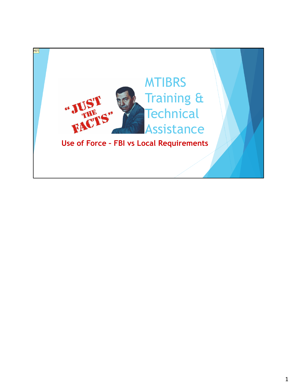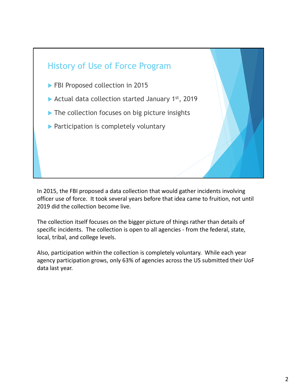

 In 2015, the FBI proposed a data collection that would gather incidents involving officer use of force. It took several years before that idea came to fruition, not until 2019 did the collection become live.

 The collection itself focuses on the bigger picture of things rather than details of specific incidents. The collection is open to all agencies ‐ from the federal, state, local, tribal, and college levels.

 Also, participation within the collection is completely voluntary. While each year agency participation grows, only 63% of agencies across the US submitted their UoF data last year.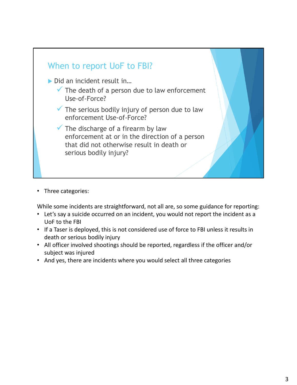

• Three categories:

While some incidents are straightforward, not all are, so some guidance for reporting:

- • Let's say a suicide occurred on an incident, you would not report the incident as a UoF to the FBI
- If a Taser is deployed, this is not considered use of force to FBI unless it results in death or serious bodily injury
- All officer involved shootings should be reported, regardless if the officer and/or subject was injured
- And yes, there are incidents where you would select all three categories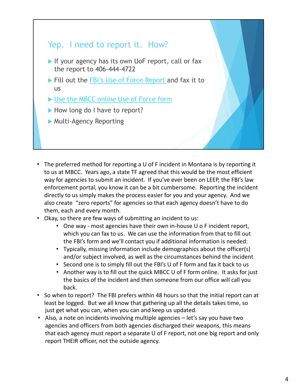## Yep. I need to report it. How?

- If your agency has its own UoF report, call or fax the report to 406-444-4722
- Fill out the FBI's Use of Force Report and fax it to us
- ▶ Use the MBCC online Use of Force form
- How long do I have to report?
- Multi-Agency Reporting
- The preferred method for reporting a U of F incident in Montana is by reporting it to us at MBCC. Years ago, a state TF agreed that this would be the most efficient way for agencies to submit an incident. If you've ever been on LEEP, the FBI's law enforcement portal, you know it can be a bit cumbersome. Reporting the incident directly to us simply makes the process easier for you and your agency. And we also create "zero reports" for agencies so that each agency doesn't have to do them, each and every month.
- Okay, so there are few ways of submitting an incident to us:
	- One way most agencies have their own in-house U o F incident report, which you can fax to us. We can use the information from that to fill out the FBI's form and we'll contact you if additional information is needed:
	- • Typically, missing information include demographics about the officer(s) and/or subject involved, as well as the circumstances behind the incident
	- Second one is to simply fill out the FBI's U of F form and fax it back to us
	- • Another way is to fill out the quick MBCC U of F form online. It asks for just the basics of the incident and then someone from our office will call you back.
- So when to report? The FBI prefers within 48 hours so that the initial report can at least be logged. But we all know that gathering up all the details takes time, so just get what you can, when you can and keep us updated.
- Also, a note on incidents involving multiple agencies let's say you have two agencies and officers from both agencies discharged their weapons, this means that each agency must report a separate U of F report, not one big report and only report THEIR officer, not the outside agency.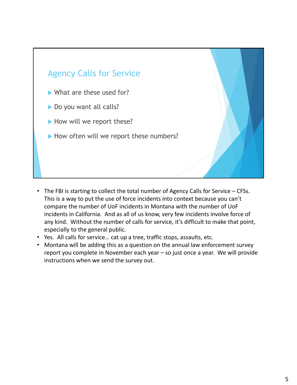

- The FBI is starting to collect the total number of Agency Calls for Service CFSs. This is a way to put the use of force incidents into context because you can't compare the number of UoF incidents in Montana with the number of UoF incidents in California. And as all of us know, very few incidents involve force of any kind. Without the number of calls for service, it's difficult to make that point, especially to the general public.
- Yes. All calls for service… cat up a tree, traffic stops, assaults, etc.
- Montana will be adding this as a question on the annual law enforcement survey report you complete in November each year – so just once a year. We will provide instructions when we send the survey out.